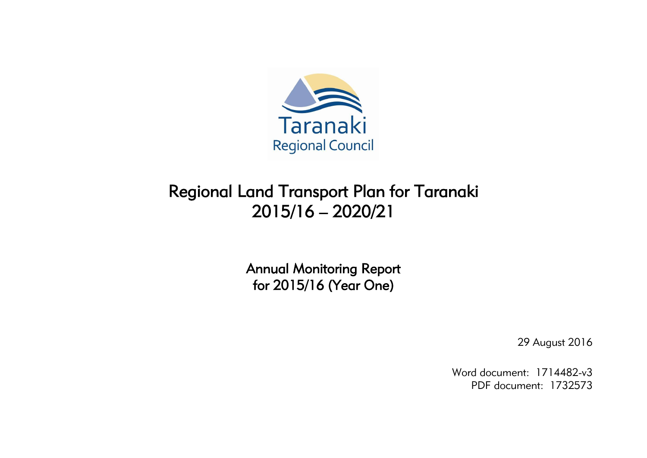

# Regional Land Transport Plan for Taranaki 2015/16 – 2020/21

Annual Monitoring Report for 2015/16 (Year One)

29 August 2016

Word document: 1714482-v3 PDF document: 1732573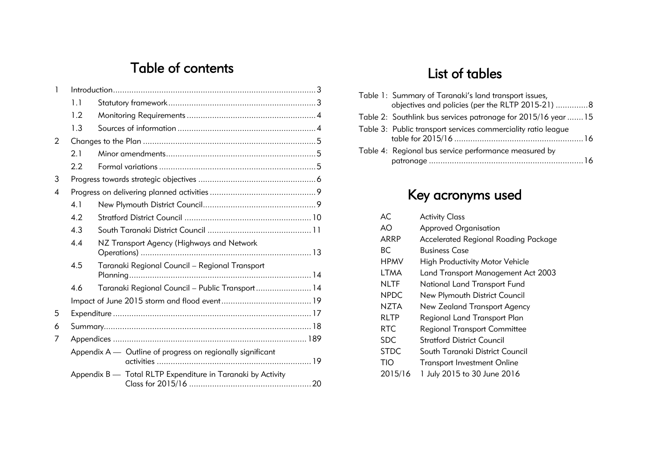## Table of contents

| 1              |     |                                                             |  |
|----------------|-----|-------------------------------------------------------------|--|
|                | 1.1 |                                                             |  |
|                | 1.2 |                                                             |  |
|                | 1.3 |                                                             |  |
| 2              |     |                                                             |  |
|                | 2.1 |                                                             |  |
|                | 2.2 |                                                             |  |
| 3              |     |                                                             |  |
| $\overline{4}$ |     |                                                             |  |
|                | 4.1 |                                                             |  |
|                | 4.2 |                                                             |  |
|                | 4.3 |                                                             |  |
|                | 4.4 | NZ Transport Agency (Highways and Network                   |  |
|                | 4.5 | Taranaki Regional Council - Regional Transport              |  |
|                | 4.6 | Taranaki Regional Council - Public Transport 14             |  |
|                |     |                                                             |  |
| 5              |     |                                                             |  |
| 6              |     |                                                             |  |
| 7              |     |                                                             |  |
|                |     | Appendix A - Outline of progress on regionally significant  |  |
|                |     | Appendix B - Total RLTP Expenditure in Taranaki by Activity |  |

## List of tables

| Table 1: Summary of Taranaki's land transport issues,<br>objectives and policies (per the RLTP 2015-21) 8 |
|-----------------------------------------------------------------------------------------------------------|
| Table 2: Southlink bus services patronage for 2015/16 year 15                                             |
| Table 3: Public transport services commerciality ratio league                                             |
| Table 4: Regional bus service performance measured by                                                     |

# Key acronyms used

| AC.         | <b>Activity Class</b>                       |
|-------------|---------------------------------------------|
| AO          | <b>Approved Organisation</b>                |
| ARRP        | <b>Accelerated Regional Roading Package</b> |
| BС          | Business Case                               |
| <b>HPMV</b> | <b>High Productivity Motor Vehicle</b>      |
| LTMA        | Land Transport Management Act 2003          |
| <b>NLTF</b> | National Land Transport Fund                |
| <b>NPDC</b> | New Plymouth District Council               |
| <b>NZTA</b> | New Zealand Transport Agency                |
| RLTP        | Regional Land Transport Plan                |
| RTC.        | Regional Transport Committee                |
| <b>SDC</b>  | Stratford District Council                  |
| <b>STDC</b> | South Taranaki District Council             |
| TIO         | <b>Transport Investment Online</b>          |
| 2015/16     | 1 July 2015 to 30 June 2016                 |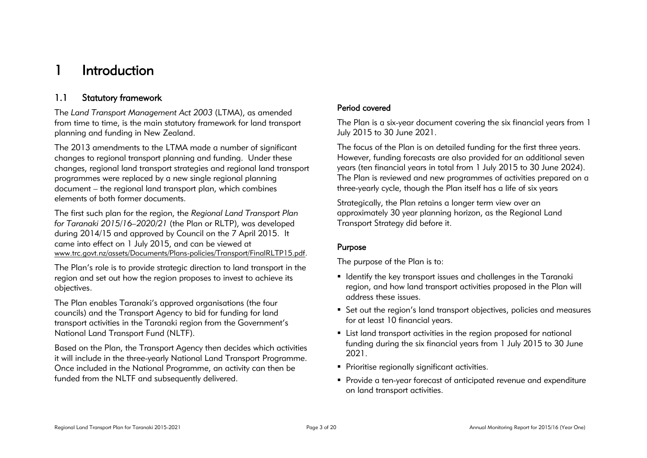## <span id="page-2-0"></span>1 Introduction

## <span id="page-2-1"></span>1.1 Statutory framework

The *Land Transport Management Act 2003* (LTMA), as amended from time to time, is the main statutory framework for land transport planning and funding in New Zealand.

The 2013 amendments to the LTMA made a number of significant changes to regional transport planning and funding. Under these changes, regional land transport strategies and regional land transport programmes were replaced by a new single regional planning document – the regional land transport plan, which combines elements of both former documents.

The first such plan for the region, the *Regional Land Transport Plan for Taranaki 2015/16–2020/21* (the Plan or RLTP), was developed during 2014/15 and approved by Council on the 7 April 2015. It came into effect on 1 July 2015, and can be viewed at [www.trc.govt.nz/assets/Documents/Plans-policies/Transport/FinalRLTP15.pdf.](http://www.trc.govt.nz/assets/Documents/Plans-policies/Transport/FinalRLTP15.pdf)

The Plan's role is to provide strategic direction to land transport in the region and set out how the region proposes to invest to achieve its objectives.

The Plan enables Taranaki's approved organisations (the four councils) and the Transport Agency to bid for funding for land transport activities in the Taranaki region from the Government's National Land Transport Fund (NLTF).

Based on the Plan, the Transport Agency then decides which activities it will include in the three-yearly National Land Transport Programme. Once included in the National Programme, an activity can then be funded from the NLTF and subsequently delivered.

### Period covered

The Plan is a six-year document covering the six financial years from 1 July 2015 to 30 June 2021.

The focus of the Plan is on detailed funding for the first three years. However, funding forecasts are also provided for an additional seven years (ten financial years in total from 1 July 2015 to 30 June 2024). The Plan is reviewed and new programmes of activities prepared on a three-yearly cycle, though the Plan itself has a life of six years

Strategically, the Plan retains a longer term view over an approximately 30 year planning horizon, as the Regional Land Transport Strategy did before it.

### Purpose

The purpose of the Plan is to:

- **IDENT** Identify the key transport issues and challenges in the Taranaki region, and how land transport activities proposed in the Plan will address these issues.
- Set out the region's land transport objectives, policies and measures for at least 10 financial years.
- List land transport activities in the region proposed for national funding during the six financial years from 1 July 2015 to 30 June 2021.
- **Prioritise regionally significant activities.**
- Provide a ten-year forecast of anticipated revenue and expenditure on land transport activities.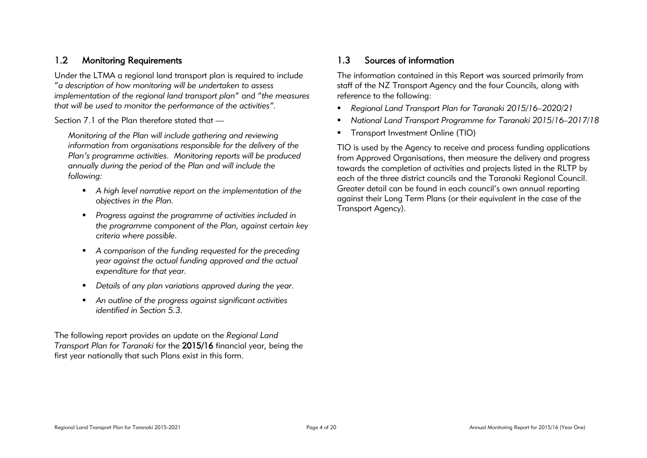## <span id="page-3-0"></span>1.2 Monitoring Requirements

Under the LTMA a regional land transport plan is required to include "*a description of how monitoring will be undertaken to assess implementation of the regional land transport plan*" and "*the measures that will be used to monitor the performance of the activities".*

Section 7.1 of the Plan therefore stated that —

*Monitoring of the Plan will include gathering and reviewing information from organisations responsible for the delivery of the Plan's programme activities. Monitoring reports will be produced annually during the period of the Plan and will include the following:*

- *A high level narrative report on the implementation of the objectives in the Plan.*
- *Progress against the programme of activities included in the programme component of the Plan, against certain key criteria where possible.*
- *A comparison of the funding requested for the preceding year against the actual funding approved and the actual expenditure for that year.*
- *Details of any plan variations approved during the year.*
- *An outline of the progress against significant activities identified in Section 5.3.*

The following report provides an update on the *Regional Land Transport Plan for Taranaki* for the 2015/16 financial year, being the first year nationally that such Plans exist in this form.

## <span id="page-3-1"></span>1.3 Sources of information

The information contained in this Report was sourced primarily from staff of the NZ Transport Agency and the four Councils, along with reference to the following:

- *Regional Land Transport Plan for Taranaki 2015/16–2020/21*
- *National Land Transport Programme for Taranaki 2015/16–2017/18*
- **Transport Investment Online (TIO)**

TIO is used by the Agency to receive and process funding applications from Approved Organisations, then measure the delivery and progress towards the completion of activities and projects listed in the RLTP by each of the three district councils and the Taranaki Regional Council. Greater detail can be found in each council's own annual reporting against their Long Term Plans (or their equivalent in the case of the Transport Agency).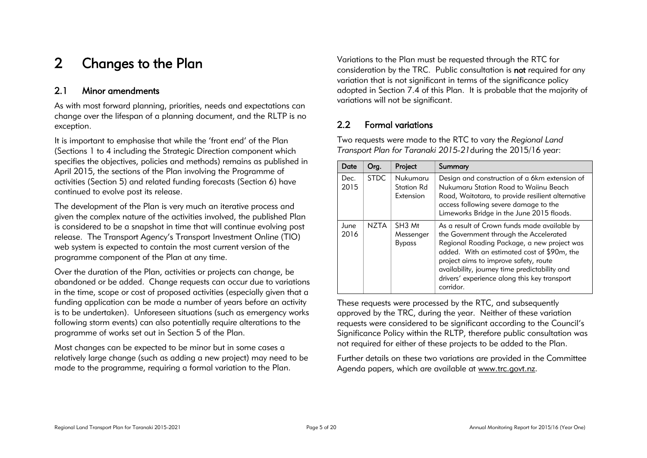## <span id="page-4-0"></span>2 Changes to the Plan

### <span id="page-4-1"></span>2.1 Minor amendments

As with most forward planning, priorities, needs and expectations can change over the lifespan of a planning document, and the RLTP is no exception.

It is important to emphasise that while the 'front end' of the Plan (Sections 1 to 4 including the Strategic Direction component which specifies the objectives, policies and methods) remains as published in April 2015, the sections of the Plan involving the Programme of activities (Section 5) and related funding forecasts (Section 6) have continued to evolve post its release.

The development of the Plan is very much an iterative process and given the complex nature of the activities involved, the published Plan is considered to be a snapshot in time that will continue evolving post release. The Transport Agency's Transport Investment Online (TIO) web system is expected to contain the most current version of the programme component of the Plan at any time.

Over the duration of the Plan, activities or projects can change, be abandoned or be added. Change requests can occur due to variations in the time, scope or cost of proposed activities (especially given that a funding application can be made a number of years before an activity is to be undertaken). Unforeseen situations (such as emergency works following storm events) can also potentially require alterations to the programme of works set out in Section 5 of the Plan.

Most changes can be expected to be minor but in some cases a relatively large change (such as adding a new project) may need to be made to the programme, requiring a formal variation to the Plan.

Variations to the Plan must be requested through the RTC for consideration by the TRC. Public consultation is not required for any variation that is not significant in terms of the significance policy adopted in Section 7.4 of this Plan. It is probable that the majority of variations will not be significant.

## <span id="page-4-2"></span>2.2 Formal variations

Two requests were made to the RTC to vary the *Regional Land Transport Plan for Taranaki 2015-21*during the 2015/16 year:

| Date         | Org.        | Project                                          | Summary                                                                                                                                                                                                                                                                                                                                     |  |
|--------------|-------------|--------------------------------------------------|---------------------------------------------------------------------------------------------------------------------------------------------------------------------------------------------------------------------------------------------------------------------------------------------------------------------------------------------|--|
| Dec.<br>2015 | <b>STDC</b> | Nukumaru<br>Station Rd<br>Extension              | Design and construction of a 6km extension of<br>Nukumaru Station Road to Waiinu Beach<br>Road, Waitotara, to provide resilient alternative<br>access following severe damage to the<br>Limeworks Bridge in the June 2015 floods.                                                                                                           |  |
| June<br>2016 | <b>NZTA</b> | SH <sub>3</sub> Mt<br>Messenger<br><b>Bypass</b> | As a result of Crown funds made available by<br>the Government through the Accelerated<br>Regional Roading Package, a new project was<br>added. With an estimated cost of \$90m, the<br>project aims to improve safety, route<br>availability, journey time predictability and<br>drivers' experience along this key transport<br>corridor. |  |

These requests were processed by the RTC, and subsequently approved by the TRC, during the year. Neither of these variation requests were considered to be significant according to the Council's Significance Policy within the RLTP, therefore public consultation was not required for either of these projects to be added to the Plan.

Further details on these two variations are provided in the Committee Agenda papers, which are available at www.trc.govt.nz.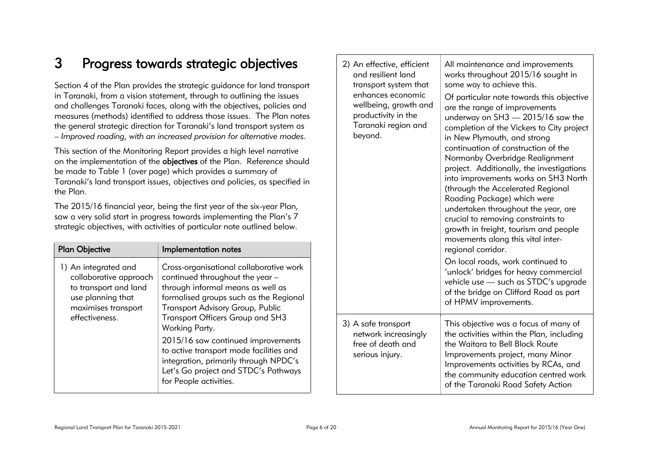## <span id="page-5-0"></span>3 Progress towards strategic objectives

Section 4 of the Plan provides the strategic guidance for land transport in Taranaki, from a vision statement, through to outlining the issues and challenges Taranaki faces, along with the objectives, policies and measures (methods) identified to address those issues. The Plan notes the general strategic direction for Taranaki's land transport system as – *Improved roading, with an increased provision for alternative modes.* 

This section of the Monitoring Report provides a high level narrative on the implementation of the objectives of the Plan. Reference should be made to Table 1 (over page) which provides a summary of Taranaki's land transport issues, objectives and policies, as specified in the Plan.

The 2015/16 financial year, being the first year of the six-year Plan, saw a very solid start in progress towards implementing the Plan's 7 strategic objectives, with activities of particular note outlined below.

| <b>Plan Objective</b>                                                                                                                 | Implementation notes                                                                                                                                                                                                                                                                                                                                                                                                                                   |
|---------------------------------------------------------------------------------------------------------------------------------------|--------------------------------------------------------------------------------------------------------------------------------------------------------------------------------------------------------------------------------------------------------------------------------------------------------------------------------------------------------------------------------------------------------------------------------------------------------|
| 1) An integrated and<br>collaborative approach<br>to transport and land<br>use planning that<br>maximises transport<br>effectiveness. | Cross-organisational collaborative work<br>continued throughout the year -<br>through informal means as well as<br>formalised groups such as the Regional<br><b>Transport Advisory Group, Public</b><br>Transport Officers Group and SH3<br>Working Party.<br>2015/16 saw continued improvements<br>to active transport mode facilities and<br>integration, primarily through NPDC's<br>Let's Go project and STDC's Pathways<br>for People activities. |

| 2) An effective, efficient<br>and resilient land<br>transport system that<br>enhances economic<br>wellbeing, growth and<br>productivity in the<br>Taranaki region and<br>beyond. | All maintenance and improvements<br>works throughout 2015/16 sought in<br>some way to achieve this.<br>Of particular note towards this objective<br>are the range of improvements<br>underway on SH3 - 2015/16 saw the<br>completion of the Vickers to City project<br>in New Plymouth, and strong<br>continuation of construction of the<br>Normanby Overbridge Realignment<br>project. Additionally, the investigations<br>into improvements works on SH3 North<br>(through the Accelerated Regional<br>Roading Package) which were<br>undertaken throughout the year, are<br>crucial to removing constraints to<br>growth in freight, tourism and people<br>movements along this vital inter-<br>regional corridor.<br>On local roads, work continued to<br>'unlock' bridges for heavy commercial<br>vehicle use - such as STDC's upgrade<br>of the bridge on Clifford Road as part<br>of HPMV improvements. |
|----------------------------------------------------------------------------------------------------------------------------------------------------------------------------------|-----------------------------------------------------------------------------------------------------------------------------------------------------------------------------------------------------------------------------------------------------------------------------------------------------------------------------------------------------------------------------------------------------------------------------------------------------------------------------------------------------------------------------------------------------------------------------------------------------------------------------------------------------------------------------------------------------------------------------------------------------------------------------------------------------------------------------------------------------------------------------------------------------------------|
| 3) A safe transport<br>network increasingly<br>free of death and<br>serious injury.                                                                                              | This objective was a focus of many of<br>the activities within the Plan, including<br>the Waitara to Bell Block Route<br>Improvements project, many Minor<br>Improvements activities by RCAs, and<br>the community education centred work<br>of the Taranaki Road Safety Action                                                                                                                                                                                                                                                                                                                                                                                                                                                                                                                                                                                                                                 |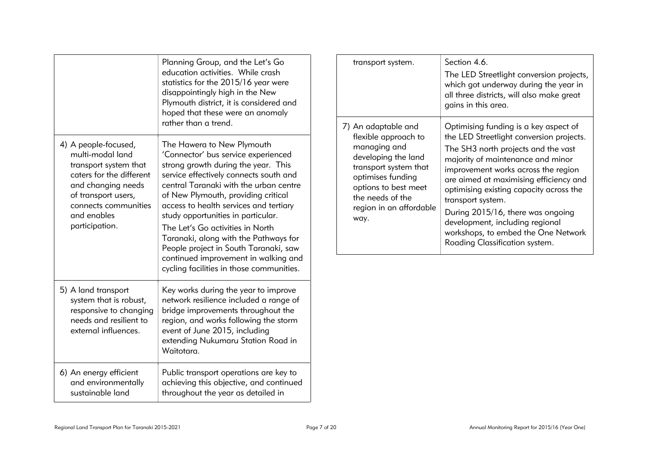|                                                                                                                                                                                                     | Planning Group, and the Let's Go<br>education activities. While crash<br>statistics for the 2015/16 year were<br>disappointingly high in the New<br>Plymouth district, it is considered and<br>hoped that these were an anomaly<br>rather than a trend.                                                                                                                                                                                                                                                                       | transport system.<br>7) An adaptable and | Section 4.6.<br>The LED Streetlight conversion projects,<br>which got underway during the year in<br>all three districts, will also make great<br>gains in this area.<br>Optimising funding is a key aspect of |                                                                                                                                                                                                                                                                                                                                                                                                                        |  |
|-----------------------------------------------------------------------------------------------------------------------------------------------------------------------------------------------------|-------------------------------------------------------------------------------------------------------------------------------------------------------------------------------------------------------------------------------------------------------------------------------------------------------------------------------------------------------------------------------------------------------------------------------------------------------------------------------------------------------------------------------|------------------------------------------|----------------------------------------------------------------------------------------------------------------------------------------------------------------------------------------------------------------|------------------------------------------------------------------------------------------------------------------------------------------------------------------------------------------------------------------------------------------------------------------------------------------------------------------------------------------------------------------------------------------------------------------------|--|
| 4) A people-focused,<br>multi-modal land<br>transport system that<br>caters for the different<br>and changing needs<br>of transport users,<br>connects communities<br>and enables<br>participation. | The Hawera to New Plymouth<br>'Connector' bus service experienced<br>strong growth during the year. This<br>service effectively connects south and<br>central Taranaki with the urban centre<br>of New Plymouth, providing critical<br>access to health services and tertiary<br>study opportunities in particular.<br>The Let's Go activities in North<br>Taranaki, along with the Pathways for<br>People project in South Taranaki, saw<br>continued improvement in walking and<br>cycling facilities in those communities. |                                          | flexible approach to<br>managing and<br>developing the land<br>transport system that<br>optimises funding<br>options to best meet<br>the needs of the<br>region in an affordable<br>way.                       | the LED Streetlight conversion projects.<br>The SH3 north projects and the vast<br>majority of maintenance and minor<br>improvement works across the region<br>are aimed at maximising efficiency and<br>optimising existing capacity across the<br>transport system.<br>During 2015/16, there was ongoing<br>development, including regional<br>workshops, to embed the One Network<br>Roading Classification system. |  |
| 5) A land transport<br>system that is robust,<br>responsive to changing<br>needs and resilient to<br>external influences.                                                                           | Key works during the year to improve<br>network resilience included a range of<br>bridge improvements throughout the<br>region, and works following the storm<br>event of June 2015, including<br>extending Nukumaru Station Road in<br>Waitotara.                                                                                                                                                                                                                                                                            |                                          |                                                                                                                                                                                                                |                                                                                                                                                                                                                                                                                                                                                                                                                        |  |
| 6) An energy efficient<br>and environmentally<br>sustainable land                                                                                                                                   | Public transport operations are key to<br>achieving this objective, and continued<br>throughout the year as detailed in                                                                                                                                                                                                                                                                                                                                                                                                       |                                          |                                                                                                                                                                                                                |                                                                                                                                                                                                                                                                                                                                                                                                                        |  |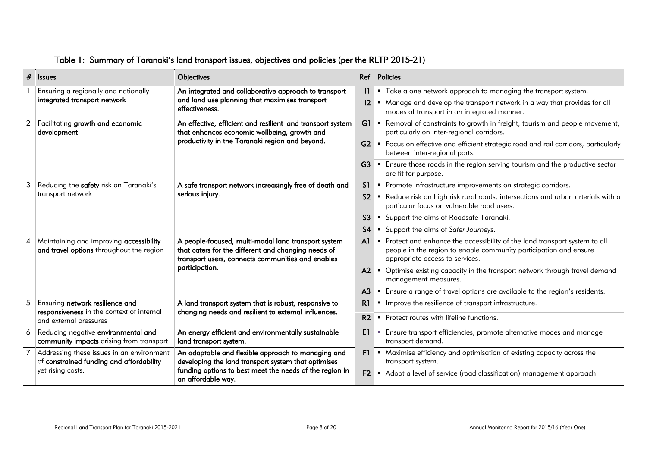|   | $#$ Issues                                                                            | <b>Objectives</b>                                                                                                                                               |                | Ref Policies                                                                                                                                                                        |
|---|---------------------------------------------------------------------------------------|-----------------------------------------------------------------------------------------------------------------------------------------------------------------|----------------|-------------------------------------------------------------------------------------------------------------------------------------------------------------------------------------|
|   | Ensuring a regionally and nationally                                                  | An integrated and collaborative approach to transport                                                                                                           |                | 1  ■ Take a one network approach to managing the transport system.                                                                                                                  |
|   | integrated transport network                                                          | and land use planning that maximises transport<br>effectiveness.                                                                                                | $12 \,$        | " Manage and develop the transport network in a way that provides for all<br>modes of transport in an integrated manner.                                                            |
|   | Facilitating growth and economic<br>development                                       | An effective, efficient and resilient land transport system<br>that enhances economic wellbeing, growth and                                                     |                | G1 • Removal of constraints to growth in freight, tourism and people movement,<br>particularly on inter-regional corridors.                                                         |
|   |                                                                                       | productivity in the Taranaki region and beyond.                                                                                                                 |                | G2 • Focus on effective and efficient strategic road and rail corridors, particularly<br>between inter-regional ports.                                                              |
|   |                                                                                       |                                                                                                                                                                 | G <sub>3</sub> | • Ensure those roads in the region serving tourism and the productive sector<br>are fit for purpose.                                                                                |
|   | Reducing the safety risk on Taranaki's                                                | A safe transport network increasingly free of death and                                                                                                         |                | S1 • Promote infrastructure improvements on strategic corridors.                                                                                                                    |
|   | transport network                                                                     | serious injury.                                                                                                                                                 | S2             | Reduce risk on high risk rural roads, intersections and urban arterials with a<br>particular focus on vulnerable road users.                                                        |
|   |                                                                                       |                                                                                                                                                                 | S <sub>3</sub> | • Support the aims of Roadsafe Taranaki.                                                                                                                                            |
|   |                                                                                       |                                                                                                                                                                 | S <sub>4</sub> | Support the aims of Safer Journeys.                                                                                                                                                 |
| 4 | Maintaining and improving accessibility<br>and travel options throughout the region   | A people-focused, multi-modal land transport system<br>that caters for the different and changing needs of<br>transport users, connects communities and enables | AI             | • Protect and enhance the accessibility of the land transport system to all<br>people in the region to enable community participation and ensure<br>appropriate access to services. |
|   |                                                                                       | participation.                                                                                                                                                  | A2             | • Optimise existing capacity in the transport network through travel demand<br>management measures.                                                                                 |
|   |                                                                                       |                                                                                                                                                                 | A <sub>3</sub> | • Ensure a range of travel options are available to the region's residents.                                                                                                         |
|   | Ensuring network resilience and                                                       | A land transport system that is robust, responsive to                                                                                                           | R1             | Improve the resilience of transport infrastructure.                                                                                                                                 |
|   | responsiveness in the context of internal<br>and external pressures                   | changing needs and resilient to external influences.                                                                                                            | R <sub>2</sub> | • Protect routes with lifeline functions.                                                                                                                                           |
|   | Reducing negative environmental and<br>community impacts arising from transport       | An energy efficient and environmentally sustainable<br>land transport system.                                                                                   | E1 I           | " Ensure transport efficiencies, promote alternative modes and manage<br>transport demand.                                                                                          |
|   | Addressing these issues in an environment<br>of constrained funding and affordability | An adaptable and flexible approach to managing and<br>developing the land transport system that optimises                                                       | F1             | • Maximise efficiency and optimisation of existing capacity across the<br>transport system.                                                                                         |
|   | yet rising costs.                                                                     | funding options to best meet the needs of the region in<br>an affordable way.                                                                                   | F2             | Adopt a level of service (road classification) management approach.                                                                                                                 |

## <span id="page-7-0"></span>Table 1: Summary of Taranaki's land transport issues, objectives and policies (per the RLTP 2015-21)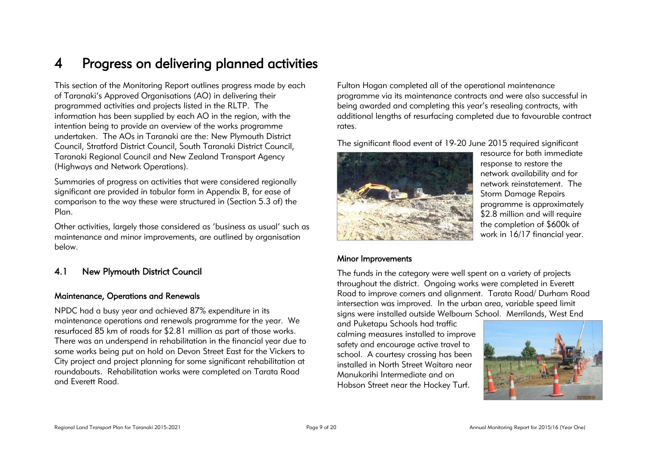## <span id="page-8-0"></span>4 Progress on delivering planned activities

This section of the Monitoring Report outlines progress made by each of Taranaki's Approved Organisations (AO) in delivering their programmed activities and projects listed in the RLTP. The information has been supplied by each AO in the region, with the intention being to provide an overview of the works programme undertaken. The AOs in Taranaki are the: New Plymouth District Council, Stratford District Council, South Taranaki District Council, Taranaki Regional Council and New Zealand Transport Agency (Highways and Network Operations).

Summaries of progress on activities that were considered regionally significant are provided in tabular form in Appendix B, for ease of comparison to the way these were structured in (Section 5.3 of) the Plan.

Other activities, largely those considered as 'business as usual' such as maintenance and minor improvements, are outlined by organisation below.

## <span id="page-8-1"></span>4.1 New Plymouth District Council

#### Maintenance, Operations and Renewals

NPDC had a busy year and achieved 87% expenditure in its maintenance operations and renewals programme for the year. We resurfaced 85 km of roads for \$2.81 million as part of those works. There was an underspend in rehabilitation in the financial year due to some works being put on hold on Devon Street East for the Vickers to City project and project planning for some significant rehabilitation at roundabouts. Rehabilitation works were completed on Tarata Road and Everett Road.

Fulton Hogan completed all of the operational maintenance programme via its maintenance contracts and were also successful in being awarded and completing this year's resealing contracts, with additional lengths of resurfacing completed due to favourable contract rates.

The significant flood event of 19-20 June 2015 required significant



resource for both immediate response to restore the network availability and for network reinstatement. The Storm Damage Repairs programme is approximately \$2.8 million and will require the completion of \$600k of work in 16/17 financial year.

#### Minor Improvements

The funds in the category were well spent on a variety of projects throughout the district. Ongoing works were completed in Everett Road to improve corners and alignment. Tarata Road/ Durham Road intersection was improved. In the urban area, variable speed limit signs were installed outside Welbourn School. Merrilands, West End

and Puketapu Schools had traffic calming measures installed to improve safety and encourage active travel to school. A courtesy crossing has been installed in North Street Waitara near Manukorihi Intermediate and on Hobson Street near the Hockey Turf.

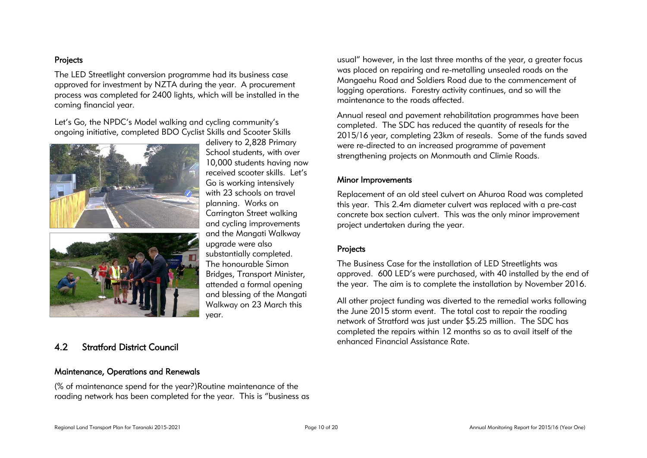#### Projects

The LED Streetlight conversion programme had its business case approved for investment by NZTA during the year. A procurement process was completed for 2400 lights, which will be installed in the coming financial year.

Let's Go, the NPDC's Model walking and cycling community's ongoing initiative, completed BDO Cyclist Skills and Scooter Skills





delivery to 2,828 Primary School students, with over 10,000 students having now received scooter skills. Let's Go is working intensively with 23 schools on travel planning. Works on Carrington Street walking and cycling improvements and the Mangati Walkway upgrade were also substantially completed. The honourable Simon Bridges, Transport Minister, attended a formal opening and blessing of the Mangati Walkway on 23 March this year.

## <span id="page-9-0"></span>4.2 Stratford District Council

#### Maintenance, Operations and Renewals

(% of maintenance spend for the year?)Routine maintenance of the roading network has been completed for the year. This is "business as

usual" however, in the last three months of the year, a greater focus was placed on repairing and re-metalling unsealed roads on the Mangaehu Road and Soldiers Road due to the commencement of logging operations. Forestry activity continues, and so will the maintenance to the roads affected.

Annual reseal and pavement rehabilitation programmes have been completed. The SDC has reduced the quantity of reseals for the 2015/16 year, completing 23km of reseals. Some of the funds saved were re-directed to an increased programme of pavement strengthening projects on Monmouth and Climie Roads.

#### Minor Improvements

Replacement of an old steel culvert on Ahuroa Road was completed this year. This 2.4m diameter culvert was replaced with a pre-cast concrete box section culvert. This was the only minor improvement project undertaken during the year.

#### Projects

The Business Case for the installation of LED Streetlights was approved. 600 LED's were purchased, with 40 installed by the end of the year. The aim is to complete the installation by November 2016.

All other project funding was diverted to the remedial works following the June 2015 storm event. The total cost to repair the roading network of Stratford was just under \$5.25 million. The SDC has completed the repairs within 12 months so as to avail itself of the enhanced Financial Assistance Rate.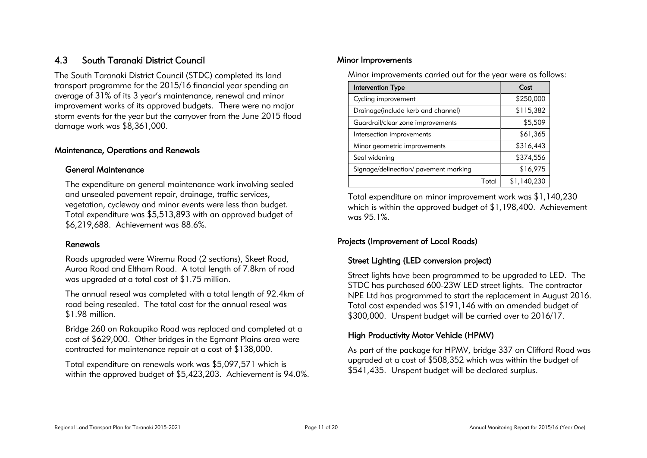## <span id="page-10-0"></span>4.3 South Taranaki District Council

The South Taranaki District Council (STDC) completed its land transport programme for the 2015/16 financial year spending an average of 31% of its 3 year's maintenance, renewal and minor improvement works of its approved budgets. There were no major storm events for the year but the carryover from the June 2015 flood damage work was \$8,361,000.

#### Maintenance, Operations and Renewals

#### General Maintenance

The expenditure on general maintenance work involving sealed and unsealed pavement repair, drainage, traffic services, vegetation, cycleway and minor events were less than budget. Total expenditure was \$5,513,893 with an approved budget of \$6,219,688. Achievement was 88.6%.

#### Renewals

Roads upgraded were Wiremu Road (2 sections), Skeet Road, Auroa Road and Eltham Road. A total length of 7.8km of road was upgraded at a total cost of \$1.75 million.

The annual reseal was completed with a total length of 92.4km of road being resealed. The total cost for the annual reseal was \$1.98 million.

Bridge 260 on Rakaupiko Road was replaced and completed at a cost of \$629,000. Other bridges in the Egmont Plains area were contracted for maintenance repair at a cost of \$138,000.

Total expenditure on renewals work was \$5,097,571 which is within the approved budget of \$5,423,203. Achievement is 94.0%.

#### Minor Improvements

Minor improvements carried out for the year were as follows:

| Intervention Type                     |       | Cost        |
|---------------------------------------|-------|-------------|
| Cycling improvement                   |       | \$250,000   |
| Drainage(include kerb and channel)    |       | \$115,382   |
| Guardrail/clear zone improvements     |       | \$5,509     |
| Intersection improvements             |       | \$61,365    |
| Minor geometric improvements          |       | \$316,443   |
| Seal widening                         |       | \$374,556   |
| Signage/delineation/ pavement marking |       | \$16,975    |
|                                       | Total | \$1,140,230 |

Total expenditure on minor improvement work was \$1,140,230 which is within the approved budget of \$1,198,400. Achievement was 95.1%.

## Projects (Improvement of Local Roads)

## Street Lighting (LED conversion project)

Street lights have been programmed to be upgraded to LED. The STDC has purchased 600-23W LED street lights. The contractor NPE Ltd has programmed to start the replacement in August 2016. Total cost expended was \$191,146 with an amended budget of \$300,000. Unspent budget will be carried over to 2016/17.

## High Productivity Motor Vehicle (HPMV)

As part of the package for HPMV, bridge 337 on Clifford Road was upgraded at a cost of \$508,352 which was within the budget of \$541,435. Unspent budget will be declared surplus.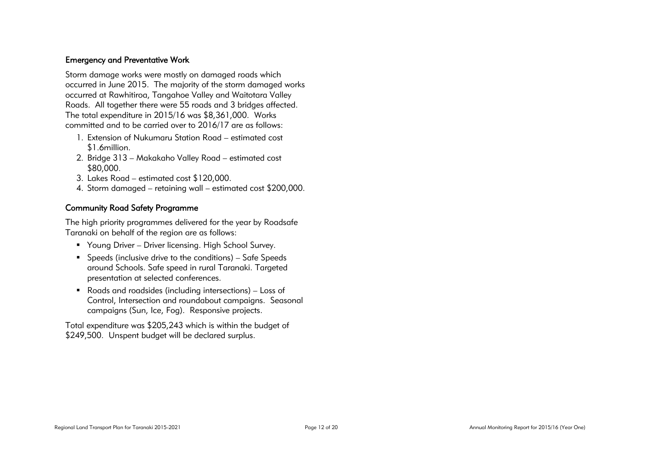#### Emergency and Preventative Work

Storm damage works were mostly on damaged roads which occurred in June 2015. The majority of the storm damaged works occurred at Rawhitiroa, Tangahoe Valley and Waitotara Valley Roads. All together there were 55 roads and 3 bridges affected. The total expenditure in 2015/16 was \$8,361,000. Works committed and to be carried over to 2016/17 are as follows:

- 1. Extension of Nukumaru Station Road estimated cost \$1.6million.
- 2. Bridge 313 Makakaho Valley Road estimated cost \$80,000.
- 3. Lakes Road estimated cost \$120,000.
- 4. Storm damaged retaining wall estimated cost \$200,000.

### Community Road Safety Programme

The high priority programmes delivered for the year by Roadsafe Taranaki on behalf of the region are as follows:

- Young Driver Driver licensing. High School Survey.
- Speeds (inclusive drive to the conditions) Safe Speeds around Schools. Safe speed in rural Taranaki. Targeted presentation at selected conferences.
- Roads and roadsides (including intersections) Loss of Control, Intersection and roundabout campaigns. Seasonal campaigns (Sun, Ice, Fog). Responsive projects.

Total expenditure was \$205,243 which is within the budget of \$249,500. Unspent budget will be declared surplus.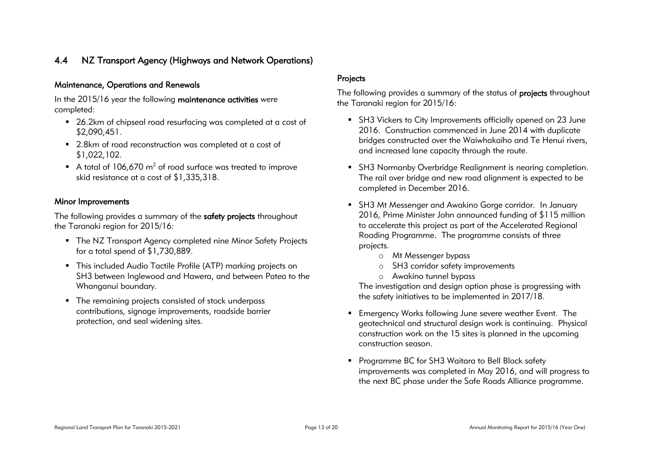## <span id="page-12-0"></span>4.4 NZ Transport Agency (Highways and Network Operations)

#### Maintenance, Operations and Renewals

In the 2015/16 year the following maintenance activities were completed:

- 26.2km of chipseal road resurfacing was completed at a cost of \$2,090,451.
- 2.8km of road reconstruction was completed at a cost of \$1,022,102.
- A total of 106,670  $m^2$  of road surface was treated to improve skid resistance at a cost of \$1,335,318.

#### Minor Improvements

The following provides a summary of the safety projects throughout the Taranaki region for 2015/16:

- The NZ Transport Agency completed nine Minor Safety Projects for a total spend of \$1,730,889.
- This included Audio Tactile Profile (ATP) marking projects on SH3 between Inglewood and Hawera, and between Patea to the Whanganui boundary.
- The remaining projects consisted of stock underpass contributions, signage improvements, roadside barrier protection, and seal widening sites.

#### Projects

The following provides a summary of the status of projects throughout the Taranaki region for 2015/16:

- SH3 Vickers to City Improvements officially opened on 23 June 2016. Construction commenced in June 2014 with duplicate bridges constructed over the Waiwhakaiho and Te Henui rivers, and increased lane capacity through the route.
- SH3 Normanby Overbridge Realignment is nearing completion. The rail over bridge and new road alignment is expected to be completed in December 2016.
- SH3 Mt Messenger and Awakino Gorge corridor. In January 2016, Prime Minister John announced funding of \$115 million to accelerate this project as part of the Accelerated Regional Roading Programme. The programme consists of three projects.
	- o Mt Messenger bypass
	- o SH3 corridor safety improvements
	- o Awakino tunnel bypass

The investigation and design option phase is progressing with the safety initiatives to be implemented in 2017/18.

- Emergency Works following June severe weather Event. The geotechnical and structural design work is continuing. Physical construction work on the 15 sites is planned in the upcoming construction season.
- **Programme BC for SH3 Waitara to Bell Block safety** improvements was completed in May 2016, and will progress to the next BC phase under the Safe Roads Alliance programme.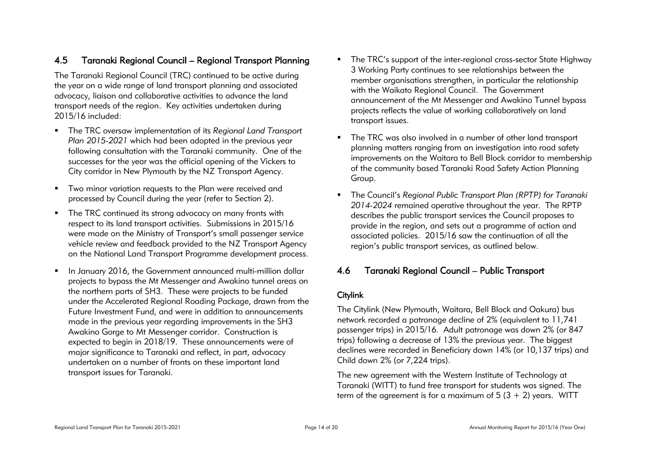## <span id="page-13-0"></span>4.5 Taranaki Regional Council – Regional Transport Planning

The Taranaki Regional Council (TRC) continued to be active during the year on a wide range of land transport planning and associated advocacy, liaison and collaborative activities to advance the land transport needs of the region. Key activities undertaken during 2015/16 included:

- The TRC oversaw implementation of its *Regional Land Transport Plan 2015-2021* which had been adopted in the previous year following consultation with the Taranaki community. One of the successes for the year was the official opening of the Vickers to City corridor in New Plymouth by the NZ Transport Agency.
- **TWO minor variation requests to the Plan were received and** processed by Council during the year (refer to Section 2).
- The TRC continued its strong advocacy on many fronts with respect to its land transport activities. Submissions in 2015/16 were made on the Ministry of Transport's small passenger service vehicle review and feedback provided to the NZ Transport Agency on the National Land Transport Programme development process.
- In January 2016, the Government announced multi-million dollar projects to bypass the Mt Messenger and Awakino tunnel areas on the northern parts of SH3. These were projects to be funded under the Accelerated Regional Roading Package, drawn from the Future Investment Fund, and were in addition to announcements made in the previous year regarding improvements in the SH3 Awakino Gorge to Mt Messenger corridor. Construction is expected to begin in 2018/19. These announcements were of major significance to Taranaki and reflect, in part, advocacy undertaken on a number of fronts on these important land transport issues for Taranaki.
- The TRC's support of the inter-regional cross-sector State Highway 3 Working Party continues to see relationships between the member organisations strengthen, in particular the relationship with the Waikato Regional Council. The Government announcement of the Mt Messenger and Awakino Tunnel bypass projects reflects the value of working collaboratively on land transport issues.
- The TRC was also involved in a number of other land transport planning matters ranging from an investigation into road safety improvements on the Waitara to Bell Block corridor to membership of the community based Taranaki Road Safety Action Planning Group.
- The Council's *Regional Public Transport Plan (RPTP) for Taranaki 2014-2024* remained operative throughout the year. The RPTP describes the public transport services the Council proposes to provide in the region, and sets out a programme of action and associated policies. 2015/16 saw the continuation of all the region's public transport services, as outlined below.

## <span id="page-13-1"></span>4.6 Taranaki Regional Council – Public Transport

#### **Citylink**

The Citylink (New Plymouth, Waitara, Bell Block and Oakura) bus network recorded a patronage decline of 2% (equivalent to 11,741 passenger trips) in 2015/16. Adult patronage was down 2% (or 847 trips) following a decrease of 13% the previous year. The biggest declines were recorded in Beneficiary down 14% (or 10,137 trips) and Child down 2% (or 7,224 trips).

The new agreement with the Western Institute of Technology at Taranaki (WITT) to fund free transport for students was signed. The term of the agreement is for a maximum of  $5(3 + 2)$  years. WITT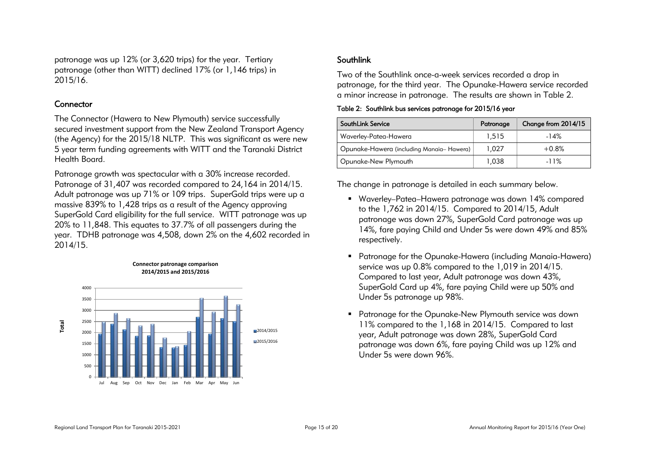patronage was up 12% (or 3,620 trips) for the year. Tertiary patronage (other than WITT) declined 17% (or 1,146 trips) in 2015/16.

#### **Connector**

The Connector (Hawera to New Plymouth) service successfully secured investment support from the New Zealand Transport Agency (the Agency) for the 2015/18 NLTP. This was significant as were new 5 year term funding agreements with WITT and the Taranaki District Health Board.

Patronage growth was spectacular with a 30% increase recorded. Patronage of 31,407 was recorded compared to 24,164 in 2014/15. Adult patronage was up 71% or 109 trips. SuperGold trips were up a massive 839% to 1,428 trips as a result of the Agency approving SuperGold Card eligibility for the full service. WITT patronage was up 20% to 11,848. This equates to 37.7% of all passengers during the year. TDHB patronage was 4,508, down 2% on the 4,602 recorded in 2014/15.



#### **Connector patronage comparison 2014/2015 and 2015/2016**

### Southlink

Two of the Southlink once-a-week services recorded a drop in patronage, for the third year. The Opunake-Hawera service recorded a minor increase in patronage. The results are shown in Table 2.

<span id="page-14-0"></span>Table 2: Southlink bus services patronage for 2015/16 year

| <b>SouthLink Service</b>                 | Patronage | Change from 2014/15 |
|------------------------------------------|-----------|---------------------|
| Waverley-Patea-Hawera                    | 1,515     | $-14%$              |
| Opunake-Hawera (including Manaia-Hawera) | 1.027     | $+0.8%$             |
| Opunake-New Plymouth                     | 1,038     | $-11%$              |

The change in patronage is detailed in each summary below.

- Waverley–Patea–Hawera patronage was down 14% compared to the 1,762 in 2014/15. Compared to 2014/15, Adult patronage was down 27%, SuperGold Card patronage was up 14%, fare paying Child and Under 5s were down 49% and 85% respectively.
- Patronage for the Opunake-Hawera (including Manaia-Hawera) service was up 0.8% compared to the 1,019 in 2014/15. Compared to last year, Adult patronage was down 43%, SuperGold Card up 4%, fare paying Child were up 50% and Under 5s patronage up 98%.
- Patronage for the Opunake-New Plymouth service was down 11% compared to the 1,168 in 2014/15. Compared to last year, Adult patronage was down 28%, SuperGold Card patronage was down 6%, fare paying Child was up 12% and Under 5s were down 96%.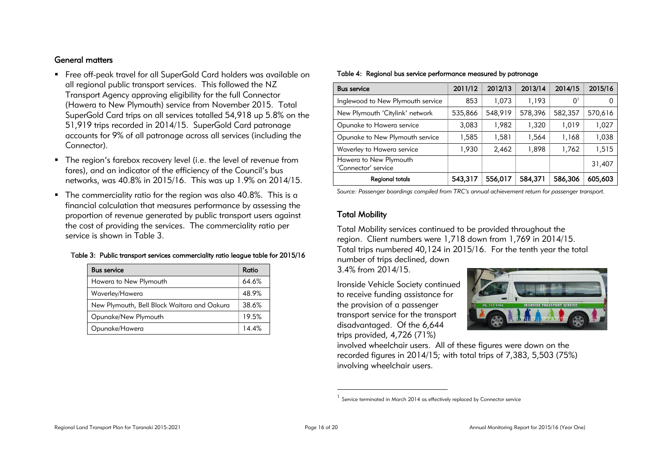#### General matters

- Free off-peak travel for all SuperGold Card holders was available on all regional public transport services. This followed the NZ Transport Agency approving eligibility for the full Connector (Hawera to New Plymouth) service from November 2015. Total SuperGold Card trips on all services totalled 54,918 up 5.8% on the 51,919 trips recorded in 2014/15. SuperGold Card patronage accounts for 9% of all patronage across all services (including the Connector).
- The region's farebox recovery level (i.e. the level of revenue from fares), and an indicator of the efficiency of the Council's bus networks, was 40.8% in 2015/16. This was up 1.9% on 2014/15.
- The commerciality ratio for the region was also 40.8%. This is a financial calculation that measures performance by assessing the proportion of revenue generated by public transport users against the cost of providing the services. The commerciality ratio per service is shown in Table 3.

#### <span id="page-15-0"></span>Table 3: Public transport services commerciality ratio league table for 2015/16

| <b>Bus service</b>                          | Ratio |
|---------------------------------------------|-------|
| Hawera to New Plymouth                      | 64.6% |
| Waverley/Hawera                             | 48.9% |
| New Plymouth, Bell Block Waitara and Oakura | 38.6% |
| Opunake/New Plymouth                        | 19.5% |
| Opunake/Hawera                              | 14.4% |

<span id="page-15-1"></span>

| <b>Bus service</b>                            | 2011/12 | 2012/13 | 2013/14 | 2014/15        | 2015/16 |
|-----------------------------------------------|---------|---------|---------|----------------|---------|
| Inglewood to New Plymouth service             | 853     | 1,073   | 1,193   | 0 <sup>1</sup> |         |
| New Plymouth 'Citylink' network               | 535,866 | 548,919 | 578,396 | 582,357        | 570,616 |
| Opunake to Hawera service                     | 3,083   | 1,982   | 1,320   | 1.019          | 1,027   |
| Opunake to New Plymouth service               | 1,585   | 1,581   | 1,564   | 1,168          | 1,038   |
| Waverley to Hawera service                    | 1,930   | 2,462   | 1,898   | 1,762          | 1,515   |
| Hawera to New Plymouth<br>'Connector' service |         |         |         |                | 31,407  |
| <b>Regional totals</b>                        | 543,317 | 556,017 | 584,371 | 586,306        | 605,603 |

*Source: Passenger boardings compiled from TRC's annual achievement return for passenger transport.*

#### Total Mobility

Total Mobility services continued to be provided throughout the region. Client numbers were 1,718 down from 1,769 in 2014/15. Total trips numbered 40,124 in 2015/16. For the tenth year the total number of trips declined, down

3.4% from 2014/15.

Ironside Vehicle Society continued to receive funding assistance for the provision of a passenger transport service for the transport disadvantaged. Of the 6,644 trips provided, 4,726 (71%)



involved wheelchair users. All of these figures were down on the recorded figures in 2014/15; with total trips of 7,383, 5,503 (75%) involving wheelchair users.

 $\overline{a}$ 

<sup>&</sup>lt;sup>1</sup> Service terminated in March 2014 as effectively replaced by Connector service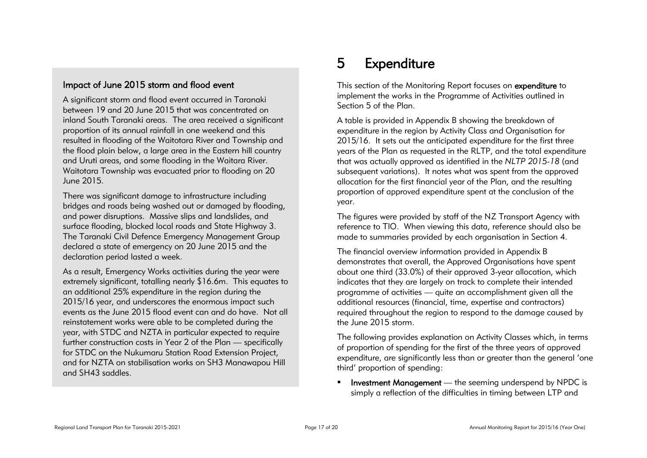## Impact of June 2015 storm and flood event

A significant storm and flood event occurred in Taranaki between 19 and 20 June 2015 that was concentrated on inland South Taranaki areas. The area received a significant proportion of its annual rainfall in one weekend and this resulted in flooding of the Waitotara River and Township and the flood plain below, a large area in the Eastern hill country and Uruti areas, and some flooding in the Waitara River. Waitotara Township was evacuated prior to flooding on 20 June 2015.

There was significant damage to infrastructure including bridges and roads being washed out or damaged by flooding, and power disruptions. Massive slips and landslides, and surface flooding, blocked local roads and State Highway 3. The Taranaki Civil Defence Emergency Management Group declared a state of emergency on 20 June 2015 and the declaration period lasted a week.

<span id="page-16-0"></span>As a result, Emergency Works activities during the year were extremely significant, totalling nearly \$16.6m. This equates to an additional 25% expenditure in the region during the 2015/16 year, and underscores the enormous impact such events as the June 2015 flood event can and do have. Not all reinstatement works were able to be completed during the year, with STDC and NZTA in particular expected to require further construction costs in Year 2 of the Plan — specifically for STDC on the Nukumaru Station Road Extension Project, and for NZTA on stabilisation works on SH3 Manawapou Hill and SH43 saddles.

## 5 Expenditure

This section of the Monitoring Report focuses on expenditure to implement the works in the Programme of Activities outlined in Section 5 of the Plan.

A table is provided in Appendix B showing the breakdown of expenditure in the region by Activity Class and Organisation for 2015/16. It sets out the anticipated expenditure for the first three years of the Plan as requested in the RLTP, and the total expenditure that was actually approved as identified in the *NLTP 2015-18* (and subsequent variations). It notes what was spent from the approved allocation for the first financial year of the Plan, and the resulting proportion of approved expenditure spent at the conclusion of the year.

The figures were provided by staff of the NZ Transport Agency with reference to TIO. When viewing this data, reference should also be made to summaries provided by each organisation in Section 4.

The financial overview information provided in Appendix B demonstrates that overall, the Approved Organisations have spent about one third (33.0%) of their approved 3-year allocation, which indicates that they are largely on track to complete their intended programme of activities — quite an accomplishment given all the additional resources (financial, time, expertise and contractors) required throughout the region to respond to the damage caused by the June 2015 storm.

The following provides explanation on Activity Classes which, in terms of proportion of spending for the first of the three years of approved expenditure, are significantly less than or greater than the general 'one third' proportion of spending:

**Investment Management** — the seeming underspend by NPDC is simply a reflection of the difficulties in timing between LTP and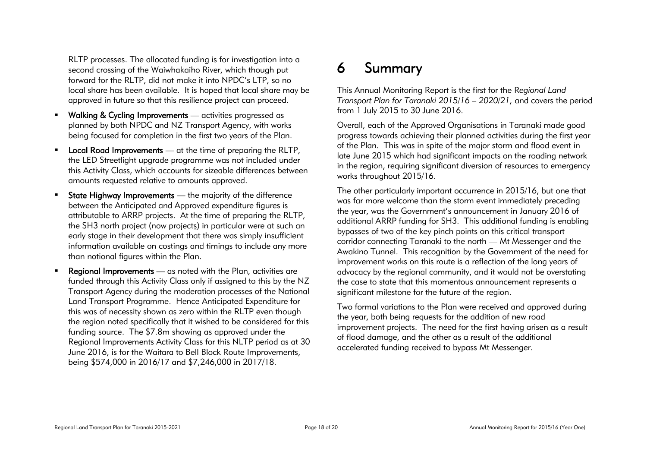RLTP processes. The allocated funding is for investigation into a second crossing of the Waiwhakaiho River, which though put forward for the RLTP, did not make it into NPDC's LTP, so no local share has been available. It is hoped that local share may be approved in future so that this resilience project can proceed.

- **Walking & Cycling Improvements** activities progressed as planned by both NPDC and NZ Transport Agency, with works being focused for completion in the first two years of the Plan.
- **Local Road Improvements** at the time of preparing the RLTP, the LED Streetlight upgrade programme was not included under this Activity Class, which accounts for sizeable differences between amounts requested relative to amounts approved.
- **State Highway Improvements** the majority of the difference between the Anticipated and Approved expenditure figures is attributable to ARRP projects. At the time of preparing the RLTP, the SH3 north project (now projects) in particular were at such an early stage in their development that there was simply insufficient information available on costings and timings to include any more than notional figures within the Plan.
- **Regional Improvements** as noted with the Plan, activities are funded through this Activity Class only if assigned to this by the NZ Transport Agency during the moderation processes of the National Land Transport Programme. Hence Anticipated Expenditure for this was of necessity shown as zero within the RLTP even though the region noted specifically that it wished to be considered for this funding source. The \$7.8m showing as approved under the Regional Improvements Activity Class for this NLTP period as at 30 June 2016, is for the Waitara to Bell Block Route Improvements, being \$574,000 in 2016/17 and \$7,246,000 in 2017/18.

## <span id="page-17-0"></span>6 Summary

This Annual Monitoring Report is the first for the R*egional Land Transport Plan for Taranaki 2015/16 – 2020/21,* and covers the period from 1 July 2015 to 30 June 2016.

Overall, each of the Approved Organisations in Taranaki made good progress towards achieving their planned activities during the first year of the Plan. This was in spite of the major storm and flood event in late June 2015 which had significant impacts on the roading network in the region, requiring significant diversion of resources to emergency works throughout 2015/16.

The other particularly important occurrence in 2015/16, but one that was far more welcome than the storm event immediately preceding the year, was the Government's announcement in January 2016 of additional ARRP funding for SH3. This additional funding is enabling bypasses of two of the key pinch points on this critical transport corridor connecting Taranaki to the north — Mt Messenger and the Awakino Tunnel. This recognition by the Government of the need for improvement works on this route is a reflection of the long years of advocacy by the regional community, and it would not be overstating the case to state that this momentous announcement represents a significant milestone for the future of the region.

Two formal variations to the Plan were received and approved during the year, both being requests for the addition of new road improvement projects. The need for the first having arisen as a result of flood damage, and the other as a result of the additional accelerated funding received to bypass Mt Messenger.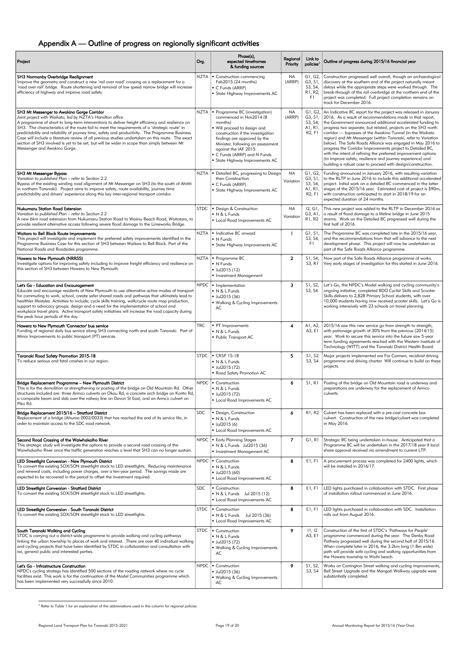| Project                                                                                                                                                                                                                                                                                                                                                                                                                                                                                                                                                                                                                                            | Org.       | Phase(s),<br>expected timeframes<br>& funding sources                                                                                                                                                                                                                                                      | Regional<br>Priority   | Link to<br>policies <sup>2</sup>                                            | Outline of progress during 2015/16 financial year                                                                                                                                                                                                                                                                                                                                                                                                                                                                                                                                                                                                                                                                           |
|----------------------------------------------------------------------------------------------------------------------------------------------------------------------------------------------------------------------------------------------------------------------------------------------------------------------------------------------------------------------------------------------------------------------------------------------------------------------------------------------------------------------------------------------------------------------------------------------------------------------------------------------------|------------|------------------------------------------------------------------------------------------------------------------------------------------------------------------------------------------------------------------------------------------------------------------------------------------------------------|------------------------|-----------------------------------------------------------------------------|-----------------------------------------------------------------------------------------------------------------------------------------------------------------------------------------------------------------------------------------------------------------------------------------------------------------------------------------------------------------------------------------------------------------------------------------------------------------------------------------------------------------------------------------------------------------------------------------------------------------------------------------------------------------------------------------------------------------------------|
| SH3 Normanby Overbridge Realignment<br>Improve the geometry and construct a new 'rail over road' crossing as a replacement for a<br>'road over rail' bridge. Route shortening and removal of low speed narrow bridge will increase<br>efficiency of highway and improve road safety.                                                                                                                                                                                                                                                                                                                                                               |            | NZTA   Construction commencing<br>Feb2015 (24 months)<br>• C Funds (ARRP)<br>• State Highway Improvements AC                                                                                                                                                                                               | NA<br>(ARRP)           | G1, G2,<br>G3, S1,<br>S3, S4,<br>R1, R2,<br>F1                              | Construction progressed well overall, though an archaeological<br>discovery at the southern end of the project naturally meant<br>delays while the appropriate steps were worked through. The<br>break-through of the rail overbridge at the northern end of the<br>project was completed. Full project completion remains on<br>track for December 2016.                                                                                                                                                                                                                                                                                                                                                                   |
| SH3 Mt Messenger to Awakino Gorge Corridor<br>Joint project with Waikato, led by NZTA's Hamilton office<br>A programme of short to long-term interventions to deliver freight efficiency and resilience on<br>SH3. The characteristics of the route fail to meet the requirements of a 'strategic route' in<br>predictability and reliability of journey time, safety and productivity. The Programme Business<br>Case will include a literature review of all previous studies undertaken on this route. The exact<br>section of SH3 involved is yet to be set, but will be wider in scope than simply between Mt<br>Messenger and Awakino Gorge. | NZTA       | • Programme BC (investigation)<br>commenced in Nov2014 (8<br>months)<br>■ Will proceed to design and<br>construction if the investigation<br>findings are approved by the<br>Minister, following an assessment<br>against the IAF 2015.<br>• C Funds (ARRP) and N Funds<br>• State Highway Improvements AC | NA<br>(ARRP)           | G3, S1,<br>S3, S4,<br>A1, R1,<br>R <sub>2</sub> , F <sub>1</sub>            | G1, G2, An Indicative BC report for the project was released in January<br>2016. As a result of recommendations made in that report,<br>the Government announced additional accelerated funding to<br>progress two separate, but related, projects on the SH3 north<br>corridor - bypasses of the Awakino Tunnel (in the Waikato<br>region) and Mt Messenger (within Taranaki, refer to Variation<br>below). The Safe Roads Alliance was engaged in May 2016 to<br>progress the Corridor Improvements project to Detailed BC,<br>with the intent of refining the preferred improvement options<br>(to improve safety, resilience and journey experience) and<br>building a robust case to proceed with design/construction. |
| <b>SH3 Mt Messenger Bypass</b><br>Variation to published Plan - refer to Section 2.2<br>Bypass of the existing winding road alignment of Mt Messenger on SH3 (to the south of Ahititi<br>in northern Taranaki). Project aims to improve safety, route availability, journey time<br>predictability and drivers' experience along this key inter-regional transport corridor.                                                                                                                                                                                                                                                                       |            | NZTA   Detailed BC, progressing to Design<br>then Construction<br>C Funds (ARRP)<br>• State Highway Improvements AC                                                                                                                                                                                        | <b>NA</b><br>Variation | G1, G2,<br>G3, S1,<br>S3, S4,<br>A1, R1,<br>R <sub>2</sub> , F <sub>1</sub> | Funding announced in January 2016, with resulting variation<br>to the RLTP in June 2016 to include this additional accelerated<br>project. Initial work on a detailed BC commenced in the latter<br>stages of the 2015/16 year. Estimated cost of project is \$90m,<br>with construction anticipated to start in 2018/19 for an<br>expected duration of 24 months.                                                                                                                                                                                                                                                                                                                                                          |
| <b>Nukumaru Station Road Extension</b><br>Variation to published Plan – refer to Section 2.2<br>A new 6km road extension from Nukumaru Station Road to Waiinu Beach Road, Waitotara, to<br>provide resilient alternative access following severe flood damage to the Limeworks Bridge.                                                                                                                                                                                                                                                                                                                                                             |            | STDC   Design & Construction<br>$\blacksquare$ N & L Funds<br>• Local Road Improvements AC                                                                                                                                                                                                                 | ΝA<br>Variation        | 12, G1,<br>G3, A1,<br>R1, R2.                                               | This new project was added to the RLTP in December 2016 as<br>a result of flood damage to a lifeline bridge in June 2015<br>storms. Work on the Detailed BC progressed well during the<br>first half of 2016.                                                                                                                                                                                                                                                                                                                                                                                                                                                                                                               |
| Waitara to Bell Block Route Improvements<br>This project will investigate and implement the preferred safety improvements identified in the<br>Programme Business Case for this section of SH3 between Waitara to Bell Block. Part of the<br>National Roads and Roadsides programme.                                                                                                                                                                                                                                                                                                                                                               |            | NZTA   • Indicative BC onward<br>$\blacksquare$ N Funds<br>■ State Highway Improvements AC                                                                                                                                                                                                                 | $\mathbf{1}$           | G1, S1,<br>S3, S4,<br>F1.                                                   | The Programme BC was completed late in the 2015/16 year,<br>and the recommendations from that will advance to the next<br>development phase. This project will now be undertaken as<br>part of the Safe Roads Alliance programme.                                                                                                                                                                                                                                                                                                                                                                                                                                                                                           |
| Hawera to New Plymouth (NRR55)<br>Investigate options for improving safety including to improve freight efficiency and resilience on<br>this section of SH3 between Hawera to New Plymouth.                                                                                                                                                                                                                                                                                                                                                                                                                                                        |            | NZTA   · Programme BC<br>• N Funds<br>$-$ Jul2015 (12)<br>Investment Management                                                                                                                                                                                                                            | $\overline{2}$         | S1, S4,<br>S3, R1                                                           | Now part of the Safe Roads Alliance programme of works.<br>Very early stages of investigation for this started in June 2016.                                                                                                                                                                                                                                                                                                                                                                                                                                                                                                                                                                                                |
| Let's Go - Education and Encouragement<br>Educate and encourage residents of New Plymouth to use alternative active modes of transport<br>for commuting to work, school, create safer shared roads and pathways that ultimately lead to<br>healthier lifestyles. Activities to include; cycle skills training, walk/cycle route map production,<br>support to advocacy groups, design and a need for the implementation of school and<br>workplace travel plans. Active transport safety initiatives will increase the road capacity during<br>the peak hour periods of the day.                                                                   | NPDC       | Implementation<br>$\blacksquare$ N & L Funds<br>Jul2015 (36)<br>• Walking & Cycling Improvements<br>AC                                                                                                                                                                                                     | 3                      | S1, S2,<br>S3, S4                                                           | Let's Go, the NPDC's Model walking and cycling community's<br>ongoing initiative, completed BDO Cyclist Skills and Scooter<br>Skills delivery to 2,828 Primary School students, with over<br>10,000 students having now received scooter skills. Let's Go is<br>working intensively with 23 schools on travel planning.                                                                                                                                                                                                                                                                                                                                                                                                     |
| Hawera to New Plymouth 'Connector' bus service<br>Funding of regional daily bus service along SH3 connecting north and south Taranaki. Part of<br>Minor Improvements to public transport (PT) services.                                                                                                                                                                                                                                                                                                                                                                                                                                            | <b>TRC</b> | • PT Improvements<br>N & L Funds<br>• Public Transport AC                                                                                                                                                                                                                                                  | 4                      | A1, A2,<br>A3, E1                                                           | 2015/16 saw this new service go from strength to strength,<br>with patronage growth of 30% from the previous (2014/15)<br>year. Work to secure this service into the future saw 5-year<br>term funding agreements reached with the Western Institute of<br>Technology (WITT) and the Taranaki District Health Board.                                                                                                                                                                                                                                                                                                                                                                                                        |
| Taranaki Road Safety Promotion 2015-18<br>To reduce serious and fatal crashes in our region.                                                                                                                                                                                                                                                                                                                                                                                                                                                                                                                                                       | STDC       | $\cdot$ CRSP 15-18<br>N & L Funds<br>Jul2015(72)<br>• Road Safety Promotion AC                                                                                                                                                                                                                             | 5                      | S1, S2<br>S3, S4                                                            | Major projects implemented are For Carmen, recidivist driving<br>programme and driving charter. Will continue to build on these<br>projects.                                                                                                                                                                                                                                                                                                                                                                                                                                                                                                                                                                                |
| Bridge Replacement Programme - New Plymouth District<br>This is for the demolition or strengthening or posting of the bridge on Old Mountain Rd. Other<br>structures included are: three Armco culverts on Okau Rd, a concrete arch bridge on Korito Rd,<br>a composite beam and slab over the railway line on Devon St East, and an Armco culvert on<br>Piko Rd.                                                                                                                                                                                                                                                                                  |            | $NPDC$ $\bullet$ Construction<br>N & L Funds<br>Jul2015(72)<br>• Local Road Improvements AC                                                                                                                                                                                                                | 6                      | S1, R1                                                                      | Posting of the bridge on Old Mountain road is underway and<br>preparations are underway for the replacement of Armco<br>culverts.                                                                                                                                                                                                                                                                                                                                                                                                                                                                                                                                                                                           |
| Bridge Replacement 2015/16 - Stratford District<br>Replacement of a bridge (Ahuroa 0002/0033) that has reached the end of its service life, in<br>order to maintain access to the SDC road network.                                                                                                                                                                                                                                                                                                                                                                                                                                                | <b>SDC</b> | • Design, Construction<br>N & L Funds<br>$-$ Jul2015 (6)<br>• Local Road Improvements AC                                                                                                                                                                                                                   | 6                      |                                                                             | R1, R2 Culvert has been replaced with a pre-cast concrete box<br>culvert. Construction of the new bridge/culvert was completed<br>in May 2016.                                                                                                                                                                                                                                                                                                                                                                                                                                                                                                                                                                              |
| Second Road Crossing of the Waiwhakaiho River<br>This strategic study will investigate the options to provide a second road crossing of the<br>Waiwhakaiho River once the traffic generation reaches a level that SH3 can no longer sustain.                                                                                                                                                                                                                                                                                                                                                                                                       |            | NPDC   Early Planning Stages<br>• N & L Funds Jul2015 (36)<br>Investment Management AC                                                                                                                                                                                                                     | $\overline{7}$         | GI, RI                                                                      | Strategic BC being undertaken in-house. Anticipated that a<br>Programme BC will be undertaken in the 2017/18 year if local<br>share approval received via amendment to current LTP.                                                                                                                                                                                                                                                                                                                                                                                                                                                                                                                                         |
| LED Streetlight Conversion - New Plymouth District<br>To convert the existing SOX/SON streetlight stock to LED streetlights. Reducing maintenance<br>and renewal costs, including power charges, over a ten-year period. The savings made are<br>expected to be recovered in the period to offset the investment required.                                                                                                                                                                                                                                                                                                                         |            | $NPDC$ $\blacksquare$ Construction<br>N & L Funds<br>$-$ Jul2015 (60)<br>• Local Road Improvements AC                                                                                                                                                                                                      | 8                      | E1, F1                                                                      | A procurement process was completed for 2400 lights, which<br>will be installed in 2016/17.                                                                                                                                                                                                                                                                                                                                                                                                                                                                                                                                                                                                                                 |
| LED Streetlight Conversion - Stratford District<br>To convert the existing SOX/SON streetlight stock to LED streetlights.                                                                                                                                                                                                                                                                                                                                                                                                                                                                                                                          | <b>SDC</b> | • Construction<br>• N & L Funds Jul 2015 (12)<br>• Local Road Improvements AC                                                                                                                                                                                                                              | 8                      | E1, F1                                                                      | LED lights purchased in collaboration with STDC. First phase<br>of installation rollout commenced in June 2016.                                                                                                                                                                                                                                                                                                                                                                                                                                                                                                                                                                                                             |
| LED Streetlight Conversion - South Taranaki District<br>To convert the existing SOX/SON streetlight stock to LED streetlights.                                                                                                                                                                                                                                                                                                                                                                                                                                                                                                                     |            | $STDC$ $\blacksquare$ Construction<br>• N & L Funds Jul 2015 (36)<br>• Local Road Improvements AC                                                                                                                                                                                                          | 8                      | E1, F1                                                                      | LED lights purchased in collaboration with SDC. Installation<br>rolls out from August 2016.                                                                                                                                                                                                                                                                                                                                                                                                                                                                                                                                                                                                                                 |
| South Taranaki Walking and Cycling<br>STDC is carrying out a district-wide programme to provide walking and cycling pathways<br>linking the urban township to places of work and interest. There are over 40 individual walking<br>and cycling projects that have been identified by STDC in collaboration and consultation with<br>iwi, general public and interested parties.                                                                                                                                                                                                                                                                    |            | STDC   Construction<br>N & L Funds<br>Jul2015(72)<br>· Walking & Cycling Improvements<br>AC                                                                                                                                                                                                                | 9                      | 11, 12<br>A3, E1                                                            | Construction of the first of STDC's 'Pathways for People'<br>programme commenced during the year. The Denby Road<br>Pathway progressed well during the second half of 2015/16.<br>When complete later in 2016, the 3.2km long (1.8m wide)<br>path will provide safe cycling and walking opportunities from<br>the Hawera township to Waihi beach.                                                                                                                                                                                                                                                                                                                                                                           |
| Let's Go - Infrastructure Construction<br>NPDC's cycling strategy has identified 500 sections of the roading network where no cycle<br>facilities exist. This work is for the continuation of the Model Communities programme which<br>has been implemented very successfully since 2010.                                                                                                                                                                                                                                                                                                                                                          |            | NPDC   Construction<br>Jul2015(36)<br>• Walking & Cycling Improvements<br>AC                                                                                                                                                                                                                               | 9                      | S1, S2,<br>S3, S4                                                           | Works on Carrington Street walking and cycling improvements,<br>Bell Street Upgrade and the Mangati Walkway upgrade were<br>substantially completed.                                                                                                                                                                                                                                                                                                                                                                                                                                                                                                                                                                        |

 $^2$  Refer to Table 1 for an explanation of the abbreviations used in this column for regional policies

 $\overline{a}$ 

## <span id="page-18-0"></span>Appendix A — Outline of progress on regionally significant activities